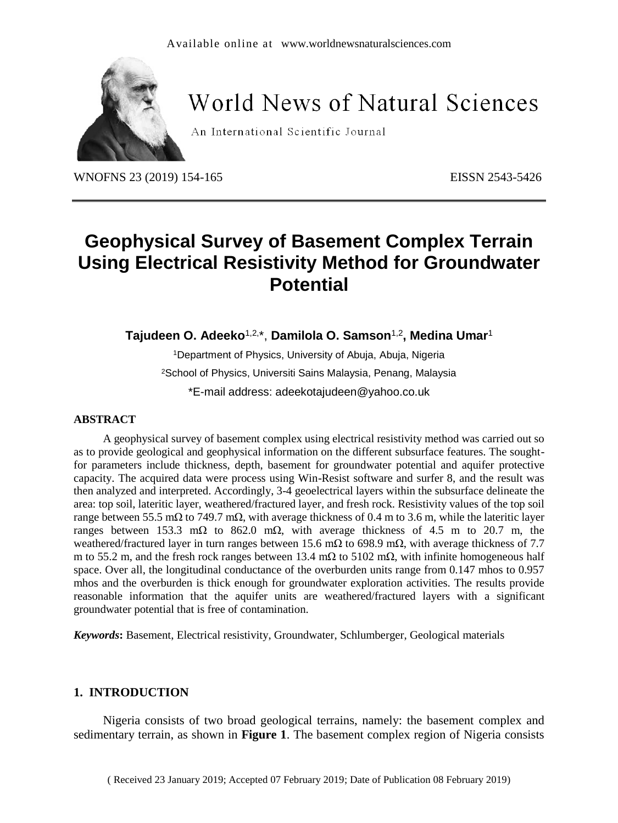

# **World News of Natural Sciences**

An International Scientific Journal

WNOFNS 23 (2019) 154-165 EISSN 2543-5426

## **Geophysical Survey of Basement Complex Terrain Using Electrical Resistivity Method for Groundwater Potential**

**Tajudeen O. Adeeko**1,2,\*, **Damilola O. Samson**1,2**, Medina Umar**<sup>1</sup>

<sup>1</sup>Department of Physics, University of Abuja, Abuja, Nigeria <sup>2</sup>School of Physics, Universiti Sains Malaysia, Penang, Malaysia \*E-mail address: [adeekotajudeen@yahoo.co.uk](mailto:adeekotajudeen@yahoo.co.uk)

#### **ABSTRACT**

A geophysical survey of basement complex using electrical resistivity method was carried out so as to provide geological and geophysical information on the different subsurface features. The soughtfor parameters include thickness, depth, basement for groundwater potential and aquifer protective capacity. The acquired data were process using Win-Resist software and surfer 8, and the result was then analyzed and interpreted. Accordingly, 3-4 geoelectrical layers within the subsurface delineate the area: top soil, lateritic layer, weathered/fractured layer, and fresh rock. Resistivity values of the top soil range between 55.5 mΩ to 749.7 mΩ, with average thickness of 0.4 m to 3.6 m, while the lateritic layer ranges between 153.3 mΩ to 862.0 mΩ, with average thickness of 4.5 m to 20.7 m, the weathered/fractured layer in turn ranges between 15.6 mΩ to 698.9 mΩ, with average thickness of 7.7 m to 55.2 m, and the fresh rock ranges between 13.4 mΩ to 5102 mΩ, with infinite homogeneous half space. Over all, the longitudinal conductance of the overburden units range from 0.147 mhos to 0.957 mhos and the overburden is thick enough for groundwater exploration activities. The results provide reasonable information that the aquifer units are weathered/fractured layers with a significant groundwater potential that is free of contamination.

*Keywords***:** Basement, Electrical resistivity, Groundwater, Schlumberger, Geological materials

### **1. INTRODUCTION**

Nigeria consists of two broad geological terrains, namely: the basement complex and sedimentary terrain, as shown in **Figure 1**. The basement complex region of Nigeria consists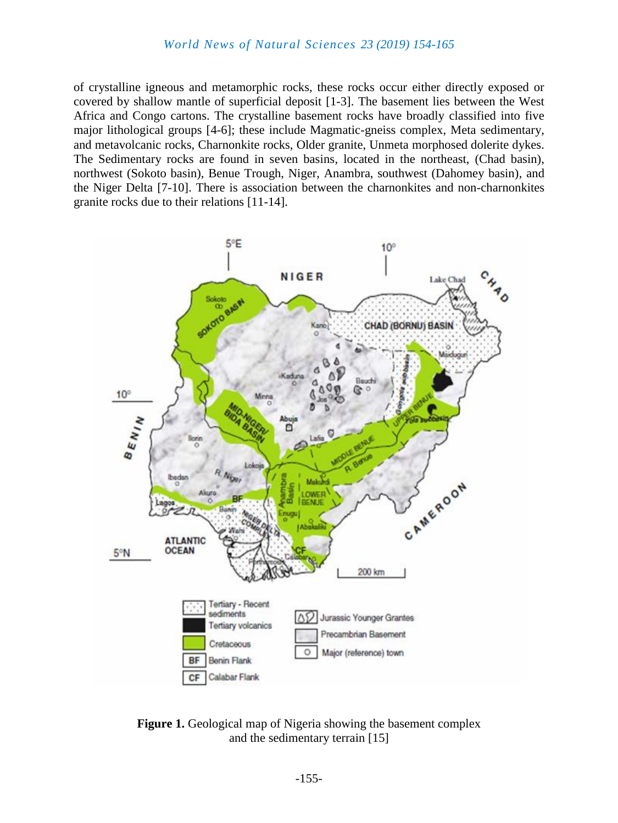of crystalline igneous and metamorphic rocks, these rocks occur either directly exposed or covered by shallow mantle of superficial deposit [1-3]. The basement lies between the West Africa and Congo cartons. The crystalline basement rocks have broadly classified into five major lithological groups [4-6]; these include Magmatic-gneiss complex, Meta sedimentary, and metavolcanic rocks, Charnonkite rocks, Older granite, Unmeta morphosed dolerite dykes. The Sedimentary rocks are found in seven basins, located in the northeast, (Chad basin), northwest (Sokoto basin), Benue Trough, Niger, Anambra, southwest (Dahomey basin), and the Niger Delta [7-10]. There is association between the charnonkites and non-charnonkites granite rocks due to their relations [11-14].



**Figure 1.** Geological map of Nigeria showing the basement complex and the sedimentary terrain [15]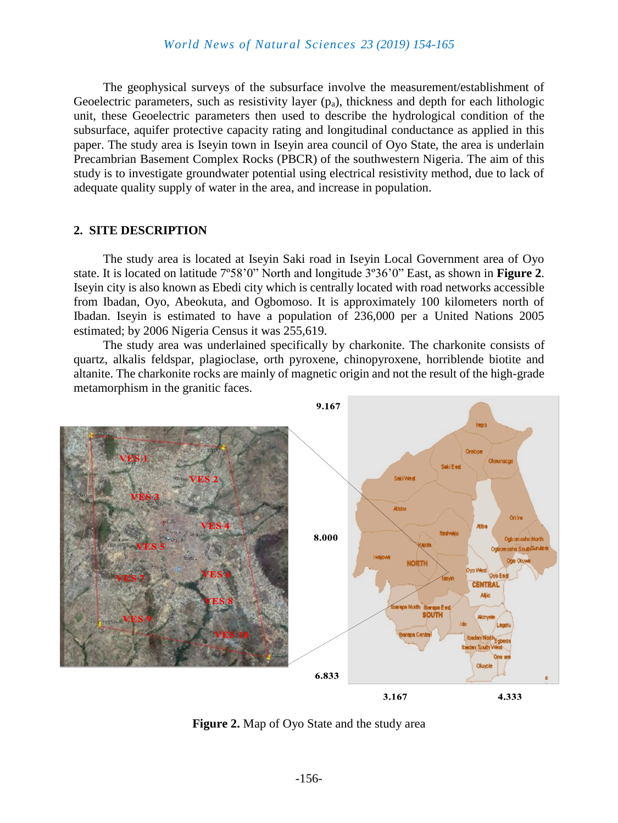The geophysical surveys of the subsurface involve the measurement/establishment of Geoelectric parameters, such as resistivity layer  $(p_a)$ , thickness and depth for each lithologic unit, these Geoelectric parameters then used to describe the hydrological condition of the subsurface, aquifer protective capacity rating and longitudinal conductance as applied in this paper. The study area is Iseyin town in Iseyin area council of Oyo State, the area is underlain Precambrian Basement Complex Rocks (PBCR) of the southwestern Nigeria. The aim of this study is to investigate groundwater potential using electrical resistivity method, due to lack of adequate quality supply of water in the area, and increase in population.

#### **2. SITE DESCRIPTION**

The study area is located at Iseyin Saki road in Iseyin Local Government area of Oyo state. It is located on latitude 7º58'0" North and longitude 3º36'0" East, as shown in **Figure 2**. Iseyin city is also known as Ebedi city which is centrally located with road networks accessible from Ibadan, Oyo, Abeokuta, and Ogbomoso. It is approximately 100 kilometers north of Ibadan. Iseyin is estimated to have a population of 236,000 per a United Nations 2005 estimated; by 2006 Nigeria Census it was 255,619.

The study area was underlained specifically by charkonite. The charkonite consists of quartz, alkalis feldspar, plagioclase, orth pyroxene, chinopyroxene, horriblende biotite and altanite. The charkonite rocks are mainly of magnetic origin and not the result of the high-grade metamorphism in the granitic faces.



**Figure 2.** Map of Oyo State and the study area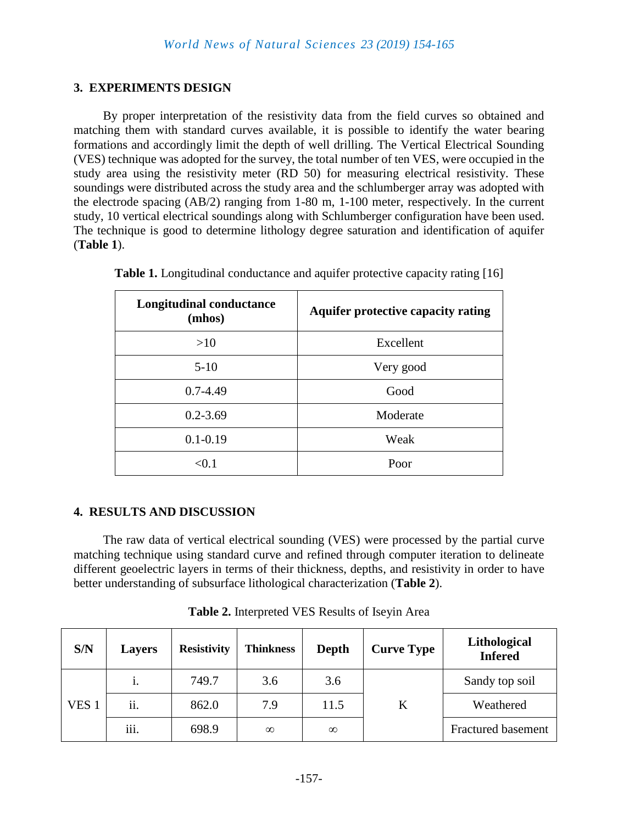### **3. EXPERIMENTS DESIGN**

By proper interpretation of the resistivity data from the field curves so obtained and matching them with standard curves available, it is possible to identify the water bearing formations and accordingly limit the depth of well drilling. The Vertical Electrical Sounding (VES) technique was adopted for the survey, the total number of ten VES, were occupied in the study area using the resistivity meter (RD 50) for measuring electrical resistivity. These soundings were distributed across the study area and the schlumberger array was adopted with the electrode spacing (AB/2) ranging from 1-80 m, 1-100 meter, respectively. In the current study, 10 vertical electrical soundings along with Schlumberger configuration have been used. The technique is good to determine lithology degree saturation and identification of aquifer (**Table 1**).

| <b>Longitudinal conductance</b><br>(mhos) | <b>Aquifer protective capacity rating</b> |
|-------------------------------------------|-------------------------------------------|
| >10                                       | Excellent                                 |
| $5 - 10$                                  | Very good                                 |
| $0.7 - 4.49$                              | Good                                      |
| $0.2 - 3.69$                              | Moderate                                  |
| $0.1 - 0.19$                              | Weak                                      |
| <∩ 1                                      | Poor                                      |

|  | Table 1. Longitudinal conductance and aquifer protective capacity rating [16] |  |  |  |
|--|-------------------------------------------------------------------------------|--|--|--|
|  |                                                                               |  |  |  |

### **4. RESULTS AND DISCUSSION**

The raw data of vertical electrical sounding (VES) were processed by the partial curve matching technique using standard curve and refined through computer iteration to delineate different geoelectric layers in terms of their thickness, depths, and resistivity in order to have better understanding of subsurface lithological characterization (**Table 2**).

| S/N              | <b>Layers</b>    | <b>Resistivity</b> | <b>Thinkness</b> | Depth    | <b>Curve Type</b> | Lithological<br><b>Infered</b> |
|------------------|------------------|--------------------|------------------|----------|-------------------|--------------------------------|
|                  | 1.               | 749.7              | 3.6              | 3.6      |                   | Sandy top soil                 |
| VES <sub>1</sub> | ii.              | 862.0              | 7.9              | 11.5     | K                 | Weathered                      |
|                  | $\cdots$<br>111. | 698.9              | $\infty$         | $\infty$ |                   | <b>Fractured basement</b>      |

**Table 2.** Interpreted VES Results of Iseyin Area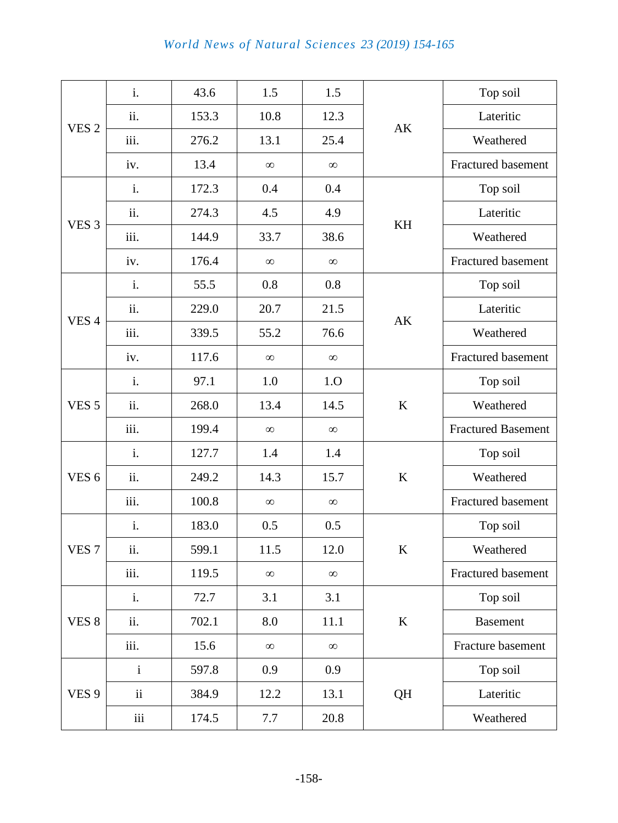|                  | i.           | 43.6  | 1.5      | 1.5      |         | Top soil                  |  |
|------------------|--------------|-------|----------|----------|---------|---------------------------|--|
| VES <sub>2</sub> | ii.          | 153.3 | 10.8     | 12.3     |         | Lateritic                 |  |
|                  | iii.         | 276.2 | 13.1     | 25.4     | AK      | Weathered                 |  |
|                  | iv.          | 13.4  | $\infty$ | $\infty$ |         | <b>Fractured basement</b> |  |
|                  | i.           | 172.3 | 0.4      | 0.4      |         | Top soil                  |  |
|                  | ii.          | 274.3 | 4.5      | 4.9      |         | Lateritic                 |  |
| VES <sub>3</sub> | iii.         | 144.9 | 33.7     | 38.6     | KH      | Weathered                 |  |
|                  | iv.          | 176.4 | $\infty$ | $\infty$ |         | <b>Fractured basement</b> |  |
|                  | i.           | 55.5  | 0.8      | 0.8      |         | Top soil                  |  |
| VES <sub>4</sub> | ii.          | 229.0 | 20.7     | 21.5     | AK      | Lateritic                 |  |
|                  | iii.         | 339.5 | 55.2     | 76.6     |         | Weathered                 |  |
|                  | iv.          | 117.6 | $\infty$ | $\infty$ |         | <b>Fractured basement</b> |  |
| i.               |              | 97.1  | 1.0      | 1.O      |         | Top soil                  |  |
| VES <sub>5</sub> | ii.          | 268.0 | 13.4     | 14.5     | $\bf K$ | Weathered                 |  |
|                  | iii.         | 199.4 | $\infty$ | $\infty$ |         | <b>Fractured Basement</b> |  |
|                  | i.           | 127.7 | 1.4      | 1.4      |         | Top soil                  |  |
| VES <sub>6</sub> | ii.          | 249.2 | 14.3     | 15.7     | K       | Weathered                 |  |
|                  | iii.         | 100.8 | $\infty$ | $\infty$ |         | Fractured basement        |  |
|                  | i.           | 183.0 | 0.5      | 0.5      |         | Top soil                  |  |
| VES <sub>7</sub> | ii.          | 599.1 | 11.5     | 12.0     | $\bf K$ | Weathered                 |  |
|                  | iii.         | 119.5 | $\infty$ | $\infty$ |         | Fractured basement        |  |
|                  | i.           | 72.7  | 3.1      | 3.1      |         | Top soil                  |  |
| VES <sub>8</sub> | ii.          | 702.1 | 8.0      | 11.1     | $\bf K$ | <b>Basement</b>           |  |
|                  | iii.         | 15.6  | $\infty$ | $\infty$ |         | Fracture basement         |  |
|                  | $\mathbf{i}$ | 597.8 | 0.9      | 0.9      |         | Top soil                  |  |
| VES <sub>9</sub> | ii           | 384.9 | 12.2     | 13.1     | QH      | Lateritic                 |  |
|                  | iii          | 174.5 | 7.7      | 20.8     |         | Weathered                 |  |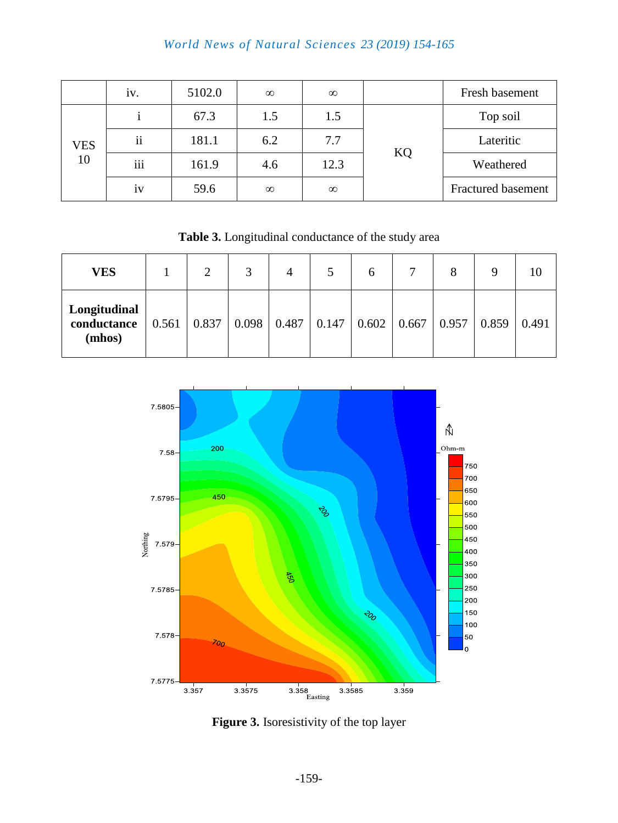|     | iv.                 | 5102.0 | $\infty$ | $\infty$ |           | Fresh basement            |
|-----|---------------------|--------|----------|----------|-----------|---------------------------|
| VES |                     | 67.3   | 1.5      | 1.5      |           | Top soil                  |
|     | $\ddot{\mathbf{i}}$ | 181.1  | 6.2      | 7.7      |           | Lateritic                 |
| 10  | iii                 | 161.9  | 4.6      | 12.3     | <b>KQ</b> | Weathered                 |
|     | 1V                  | 59.6   | $\infty$ | $\infty$ |           | <b>Fractured basement</b> |

**Table 3.** Longitudinal conductance of the study area

| <b>VES</b>                            | ∍ | 3                                                                                       | 4 |  |  |       |
|---------------------------------------|---|-----------------------------------------------------------------------------------------|---|--|--|-------|
| Longitudinal<br>conductance<br>(mhos) |   | $0.561$   $0.837$   $0.098$   $0.487$   $0.147$   $0.602$   $0.667$   $0.957$   $0.859$ |   |  |  | 0.491 |



**Figure 3.** Isoresistivity of the top layer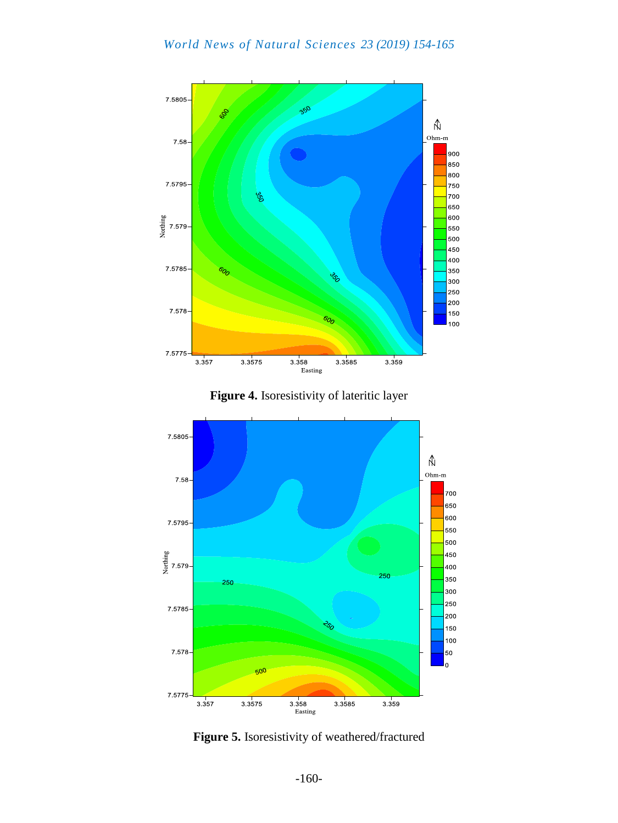





**Figure 5.** Isoresistivity of weathered/fractured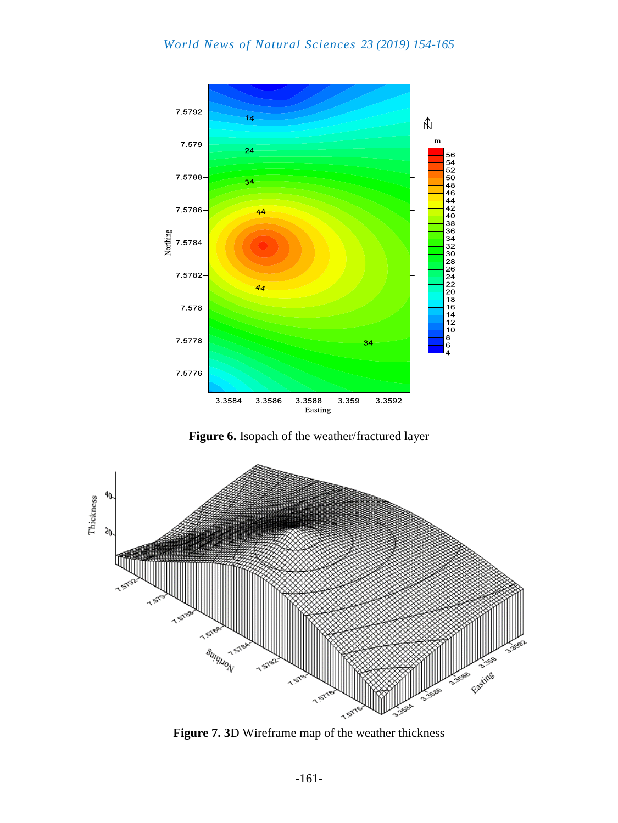

**Figure 6.** Isopach of the weather/fractured layer



**Figure 7. 3**D Wireframe map of the weather thickness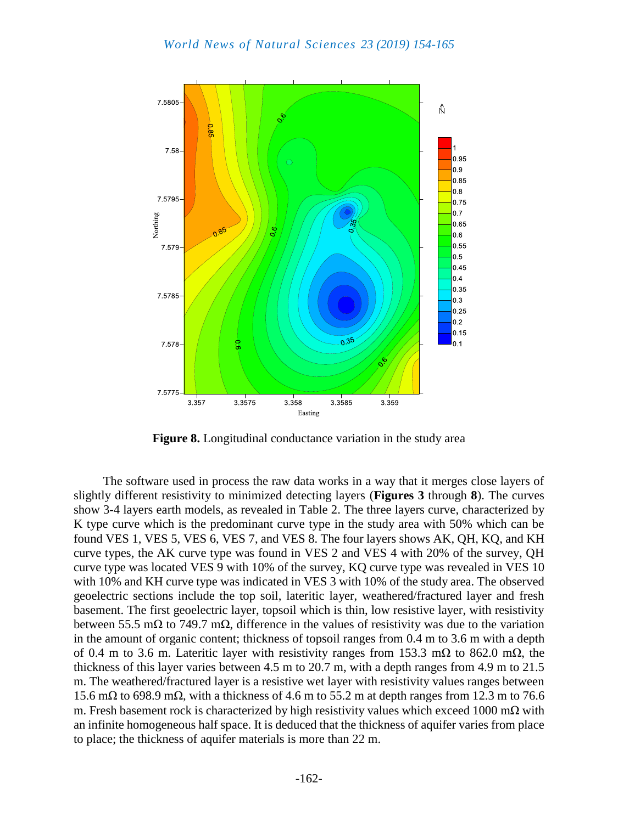

**Figure 8.** Longitudinal conductance variation in the study area

The software used in process the raw data works in a way that it merges close layers of slightly different resistivity to minimized detecting layers (**Figures 3** through **8**). The curves show 3-4 layers earth models, as revealed in Table 2. The three layers curve, characterized by K type curve which is the predominant curve type in the study area with 50% which can be found VES 1, VES 5, VES 6, VES 7, and VES 8. The four layers shows AK, QH, KQ, and KH curve types, the AK curve type was found in VES 2 and VES 4 with 20% of the survey, QH curve type was located VES 9 with 10% of the survey, KQ curve type was revealed in VES 10 with 10% and KH curve type was indicated in VES 3 with 10% of the study area. The observed geoelectric sections include the top soil, lateritic layer, weathered/fractured layer and fresh basement. The first geoelectric layer, topsoil which is thin, low resistive layer, with resistivity between 55.5 mΩ to 749.7 mΩ, difference in the values of resistivity was due to the variation in the amount of organic content; thickness of topsoil ranges from 0.4 m to 3.6 m with a depth of 0.4 m to 3.6 m. Lateritic layer with resistivity ranges from 153.3 m $\Omega$  to 862.0 m $\Omega$ , the thickness of this layer varies between 4.5 m to 20.7 m, with a depth ranges from 4.9 m to 21.5 m. The weathered/fractured layer is a resistive wet layer with resistivity values ranges between 15.6 mΩ to 698.9 mΩ, with a thickness of 4.6 m to 55.2 m at depth ranges from 12.3 m to 76.6 m. Fresh basement rock is characterized by high resistivity values which exceed 1000 mΩ with an infinite homogeneous half space. It is deduced that the thickness of aquifer varies from place to place; the thickness of aquifer materials is more than 22 m.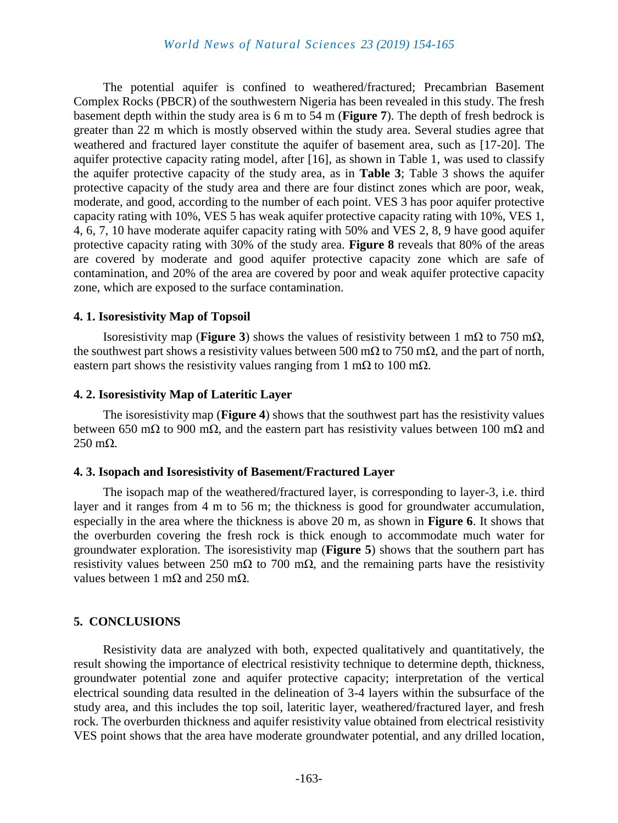The potential aquifer is confined to weathered/fractured; Precambrian Basement Complex Rocks (PBCR) of the southwestern Nigeria has been revealed in this study. The fresh basement depth within the study area is 6 m to 54 m (**Figure 7**). The depth of fresh bedrock is greater than 22 m which is mostly observed within the study area. Several studies agree that weathered and fractured layer constitute the aquifer of basement area, such as [17-20]. The aquifer protective capacity rating model, after [16], as shown in Table 1, was used to classify the aquifer protective capacity of the study area, as in **Table 3**; Table 3 shows the aquifer protective capacity of the study area and there are four distinct zones which are poor, weak, moderate, and good, according to the number of each point. VES 3 has poor aquifer protective capacity rating with 10%, VES 5 has weak aquifer protective capacity rating with 10%, VES 1, 4, 6, 7, 10 have moderate aquifer capacity rating with 50% and VES 2, 8, 9 have good aquifer protective capacity rating with 30% of the study area. **Figure 8** reveals that 80% of the areas are covered by moderate and good aquifer protective capacity zone which are safe of contamination, and 20% of the area are covered by poor and weak aquifer protective capacity zone, which are exposed to the surface contamination.

### **4. 1. Isoresistivity Map of Topsoil**

Isoresistivity map (**Figure 3**) shows the values of resistivity between 1 mΩ to 750 mΩ, the southwest part shows a resistivity values between 500 m $\Omega$  to 750 m $\Omega$ , and the part of north, eastern part shows the resistivity values ranging from 1 m $\Omega$  to 100 m $\Omega$ .

#### **4. 2. Isoresistivity Map of Lateritic Layer**

The isoresistivity map (**Figure 4**) shows that the southwest part has the resistivity values between 650 mΩ to 900 mΩ, and the eastern part has resistivity values between 100 mΩ and 250 mΩ.

### **4. 3. Isopach and Isoresistivity of Basement/Fractured Layer**

The isopach map of the weathered/fractured layer, is corresponding to layer-3, i.e. third layer and it ranges from 4 m to 56 m; the thickness is good for groundwater accumulation, especially in the area where the thickness is above 20 m, as shown in **Figure 6**. It shows that the overburden covering the fresh rock is thick enough to accommodate much water for groundwater exploration. The isoresistivity map (**Figure 5**) shows that the southern part has resistivity values between 250 mΩ to 700 mΩ, and the remaining parts have the resistivity values between 1 m $\Omega$  and 250 m $\Omega$ .

### **5. CONCLUSIONS**

Resistivity data are analyzed with both, expected qualitatively and quantitatively, the result showing the importance of electrical resistivity technique to determine depth, thickness, groundwater potential zone and aquifer protective capacity; interpretation of the vertical electrical sounding data resulted in the delineation of 3-4 layers within the subsurface of the study area, and this includes the top soil, lateritic layer, weathered/fractured layer, and fresh rock. The overburden thickness and aquifer resistivity value obtained from electrical resistivity VES point shows that the area have moderate groundwater potential, and any drilled location,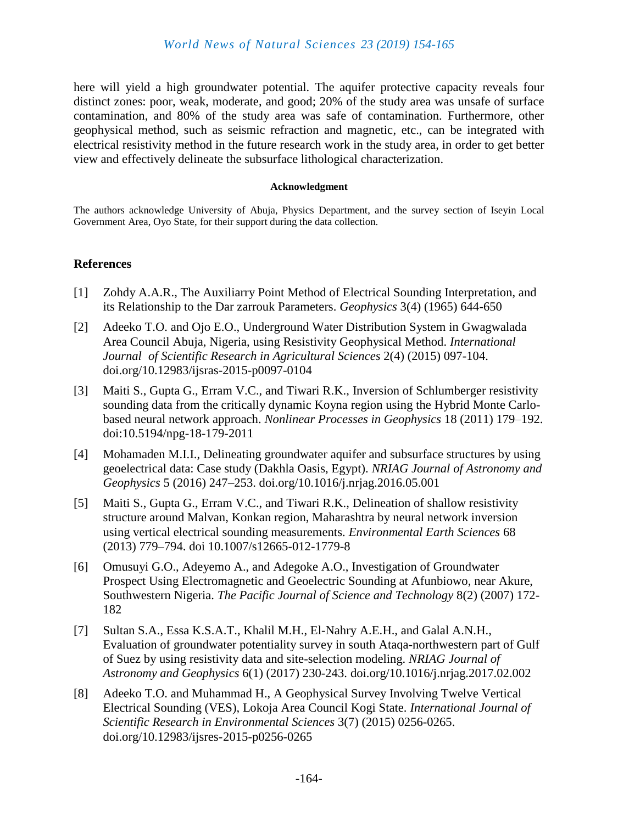here will yield a high groundwater potential. The aquifer protective capacity reveals four distinct zones: poor, weak, moderate, and good; 20% of the study area was unsafe of surface contamination, and 80% of the study area was safe of contamination. Furthermore, other geophysical method, such as seismic refraction and magnetic, etc., can be integrated with electrical resistivity method in the future research work in the study area, in order to get better view and effectively delineate the subsurface lithological characterization.

#### **Acknowledgment**

The authors acknowledge University of Abuja, Physics Department, and the survey section of Iseyin Local Government Area, Oyo State, for their support during the data collection.

### **References**

- [1] Zohdy A.A.R., The Auxiliarry Point Method of Electrical Sounding Interpretation, and its Relationship to the Dar zarrouk Parameters. *Geophysics* 3(4) (1965) 644-650
- [2] Adeeko T.O. and Ojo E.O., Underground Water Distribution System in Gwagwalada Area Council Abuja, Nigeria, using Resistivity Geophysical Method. *International Journal of Scientific Research in Agricultural Sciences* 2(4) (2015) 097-104. doi.org/10.12983/ijsras-2015-p0097-0104
- [3] Maiti S., Gupta G., Erram V.C., and Tiwari R.K., Inversion of Schlumberger resistivity sounding data from the critically dynamic Koyna region using the Hybrid Monte Carlobased neural network approach. *Nonlinear Processes in Geophysics* 18 (2011) 179–192. doi:10.5194/npg-18-179-2011
- [4] Mohamaden M.I.I., Delineating groundwater aquifer and subsurface structures by using geoelectrical data: Case study (Dakhla Oasis, Egypt). *NRIAG Journal of Astronomy and Geophysics* 5 (2016) 247–253. doi.org/10.1016/j.nrjag.2016.05.001
- [5] Maiti S., Gupta G., Erram V.C., and Tiwari R.K., Delineation of shallow resistivity structure around Malvan, Konkan region, Maharashtra by neural network inversion using vertical electrical sounding measurements. *Environmental Earth Sciences* 68 (2013) 779–794. doi 10.1007/s12665-012-1779-8
- [6] Omusuyi G.O., Adeyemo A., and Adegoke A.O., Investigation of Groundwater Prospect Using Electromagnetic and Geoelectric Sounding at Afunbiowo, near Akure, Southwestern Nigeria. *The Pacific Journal of Science and Technology* 8(2) (2007) 172- 182
- [7] Sultan S.A., Essa K.S.A.T., Khalil M.H., El-Nahry A.E.H., and Galal A.N.H., Evaluation of groundwater potentiality survey in south Ataqa-northwestern part of Gulf of Suez by using resistivity data and site-selection modeling. *NRIAG Journal of Astronomy and Geophysics* 6(1) (2017) 230-243. doi.org/10.1016/j.nrjag.2017.02.002
- [8] Adeeko T.O. and Muhammad H., A Geophysical Survey Involving Twelve Vertical Electrical Sounding (VES), Lokoja Area Council Kogi State. *International Journal of Scientific Research in Environmental Sciences* 3(7) (2015) 0256-0265. doi.org/10.12983/ijsres-2015-p0256-0265